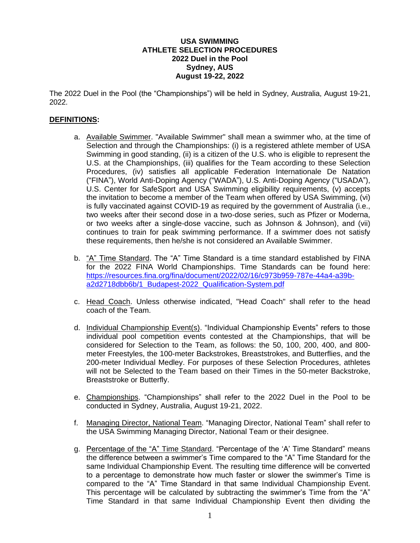## **USA SWIMMING ATHLETE SELECTION PROCEDURES 2022 Duel in the Pool Sydney, AUS August 19-22, 2022**

The 2022 Duel in the Pool (the "Championships") will be held in Sydney, Australia, August 19-21, 2022.

## **DEFINITIONS:**

- a. Available Swimmer. "Available Swimmer" shall mean a swimmer who, at the time of Selection and through the Championships: (i) is a registered athlete member of USA Swimming in good standing, (ii) is a citizen of the U.S. who is eligible to represent the U.S. at the Championships, (iii) qualifies for the Team according to these Selection Procedures, (iv) satisfies all applicable Federation Internationale De Natation ("FINA"), World Anti-Doping Agency ("WADA"), U.S. Anti-Doping Agency ("USADA"), U.S. Center for SafeSport and USA Swimming eligibility requirements, (v) accepts the invitation to become a member of the Team when offered by USA Swimming, (vi) is fully vaccinated against COVID-19 as required by the government of Australia (i.e., two weeks after their second dose in a two-dose series, such as Pfizer or Moderna, or two weeks after a single-dose vaccine, such as Johnson & Johnson), and (vii) continues to train for peak swimming performance. If a swimmer does not satisfy these requirements, then he/she is not considered an Available Swimmer.
- b. "A" Time Standard. The "A" Time Standard is a time standard established by FINA for the 2022 FINA World Championships. Time Standards can be found here: [https://resources.fina.org/fina/document/2022/02/16/c973b959-787e-44a4-a39b](https://resources.fina.org/fina/document/2022/02/16/c973b959-787e-44a4-a39b-a2d2718dbb6b/1_Budapest-2022_Qualification-System.pdf)[a2d2718dbb6b/1\\_Budapest-2022\\_Qualification-System.pdf](https://resources.fina.org/fina/document/2022/02/16/c973b959-787e-44a4-a39b-a2d2718dbb6b/1_Budapest-2022_Qualification-System.pdf)
- c. Head Coach. Unless otherwise indicated, "Head Coach" shall refer to the head coach of the Team.
- d. Individual Championship Event(s). "Individual Championship Events" refers to those individual pool competition events contested at the Championships, that will be considered for Selection to the Team, as follows: the 50, 100, 200, 400, and 800 meter Freestyles, the 100-meter Backstrokes, Breaststrokes, and Butterflies, and the 200-meter Individual Medley. For purposes of these Selection Procedures, athletes will not be Selected to the Team based on their Times in the 50-meter Backstroke, Breaststroke or Butterfly.
- e. Championships. "Championships" shall refer to the 2022 Duel in the Pool to be conducted in Sydney, Australia, August 19-21, 2022.
- f. Managing Director, National Team. "Managing Director, National Team" shall refer to the USA Swimming Managing Director, National Team or their designee.
- g. Percentage of the "A" Time Standard. "Percentage of the 'A' Time Standard" means the difference between a swimmer's Time compared to the "A" Time Standard for the same Individual Championship Event. The resulting time difference will be converted to a percentage to demonstrate how much faster or slower the swimmer's Time is compared to the "A" Time Standard in that same Individual Championship Event. This percentage will be calculated by subtracting the swimmer's Time from the "A" Time Standard in that same Individual Championship Event then dividing the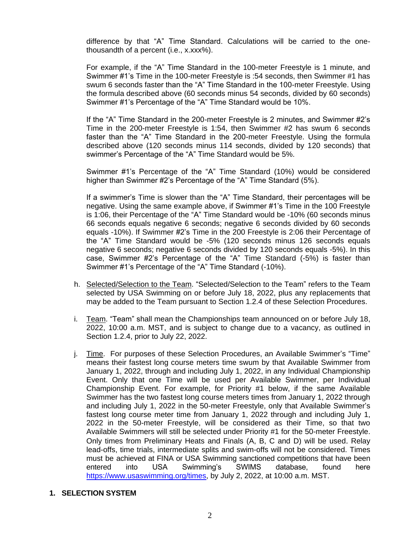difference by that "A" Time Standard. Calculations will be carried to the onethousandth of a percent (i.e., x.xxx%).

For example, if the "A" Time Standard in the 100-meter Freestyle is 1 minute, and Swimmer #1's Time in the 100-meter Freestyle is :54 seconds, then Swimmer #1 has swum 6 seconds faster than the "A" Time Standard in the 100-meter Freestyle. Using the formula described above (60 seconds minus 54 seconds, divided by 60 seconds) Swimmer #1's Percentage of the "A" Time Standard would be 10%.

If the "A" Time Standard in the 200-meter Freestyle is 2 minutes, and Swimmer #2's Time in the 200-meter Freestyle is 1:54, then Swimmer #2 has swum 6 seconds faster than the "A" Time Standard in the 200-meter Freestyle. Using the formula described above (120 seconds minus 114 seconds, divided by 120 seconds) that swimmer's Percentage of the "A" Time Standard would be 5%.

Swimmer #1's Percentage of the "A" Time Standard (10%) would be considered higher than Swimmer #2's Percentage of the "A" Time Standard (5%).

If a swimmer's Time is slower than the "A" Time Standard, their percentages will be negative. Using the same example above, if Swimmer #1's Time in the 100 Freestyle is 1:06, their Percentage of the "A" Time Standard would be -10% (60 seconds minus 66 seconds equals negative 6 seconds; negative 6 seconds divided by 60 seconds equals -10%). If Swimmer #2's Time in the 200 Freestyle is 2:06 their Percentage of the "A" Time Standard would be -5% (120 seconds minus 126 seconds equals negative 6 seconds; negative 6 seconds divided by 120 seconds equals -5%). In this case, Swimmer #2's Percentage of the "A" Time Standard (-5%) is faster than Swimmer #1's Percentage of the "A" Time Standard (-10%).

- h. Selected/Selection to the Team. "Selected/Selection to the Team" refers to the Team selected by USA Swimming on or before July 18, 2022, plus any replacements that may be added to the Team pursuant to Section 1.2.4 of these Selection Procedures.
- i. Team. "Team" shall mean the Championships team announced on or before July 18, 2022, 10:00 a.m. MST, and is subject to change due to a vacancy, as outlined in Section 1.2.4, prior to July 22, 2022.
- j. Time. For purposes of these Selection Procedures, an Available Swimmer's "Time" means their fastest long course meters time swum by that Available Swimmer from January 1, 2022, through and including July 1, 2022, in any Individual Championship Event. Only that one Time will be used per Available Swimmer, per Individual Championship Event. For example, for Priority #1 below, if the same Available Swimmer has the two fastest long course meters times from January 1, 2022 through and including July 1, 2022 in the 50-meter Freestyle, only that Available Swimmer's fastest long course meter time from January 1, 2022 through and including July 1, 2022 in the 50-meter Freestyle, will be considered as their Time, so that two Available Swimmers will still be selected under Priority #1 for the 50-meter Freestyle. Only times from Preliminary Heats and Finals (A, B, C and D) will be used. Relay lead-offs, time trials, intermediate splits and swim-offs will not be considered. Times must be achieved at FINA or USA Swimming sanctioned competitions that have been entered into USA Swimming's SWIMS database, found here [https://www.usaswimming.org/times,](https://www.usaswimming.org/times) by July 2, 2022, at 10:00 a.m. MST.
- **1. SELECTION SYSTEM**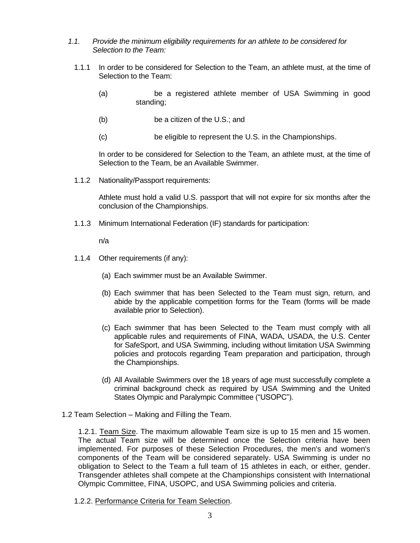- *1.1. Provide the minimum eligibility requirements for an athlete to be considered for Selection to the Team:*
	- 1.1.1 In order to be considered for Selection to the Team, an athlete must, at the time of Selection to the Team:
		- (a) be a registered athlete member of USA Swimming in good standing;
		- (b) be a citizen of the U.S.; and
		- (c) be eligible to represent the U.S. in the Championships.

In order to be considered for Selection to the Team, an athlete must, at the time of Selection to the Team, be an Available Swimmer.

1.1.2 Nationality/Passport requirements:

Athlete must hold a valid U.S. passport that will not expire for six months after the conclusion of the Championships.

1.1.3 Minimum International Federation (IF) standards for participation:

n/a

- 1.1.4 Other requirements (if any):
	- (a) Each swimmer must be an Available Swimmer.
	- (b) Each swimmer that has been Selected to the Team must sign, return, and abide by the applicable competition forms for the Team (forms will be made available prior to Selection).
	- (c) Each swimmer that has been Selected to the Team must comply with all applicable rules and requirements of FINA, WADA, USADA, the U.S. Center for SafeSport, and USA Swimming, including without limitation USA Swimming policies and protocols regarding Team preparation and participation, through the Championships.
	- (d) All Available Swimmers over the 18 years of age must successfully complete a criminal background check as required by USA Swimming and the United States Olympic and Paralympic Committee ("USOPC").
- 1.2 Team Selection Making and Filling the Team.

1.2.1. Team Size. The maximum allowable Team size is up to 15 men and 15 women. The actual Team size will be determined once the Selection criteria have been implemented. For purposes of these Selection Procedures, the men's and women's components of the Team will be considered separately. USA Swimming is under no obligation to Select to the Team a full team of 15 athletes in each, or either, gender. Transgender athletes shall compete at the Championships consistent with International Olympic Committee, FINA, USOPC, and USA Swimming policies and criteria.

1.2.2. Performance Criteria for Team Selection.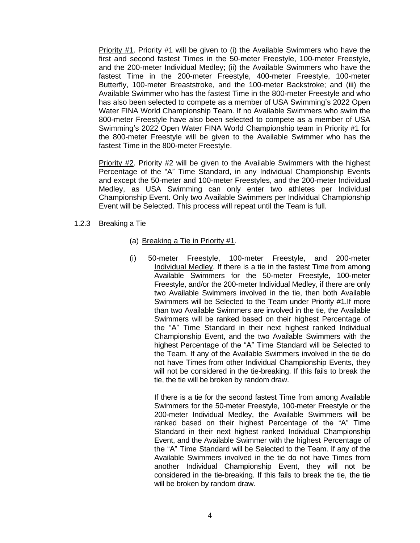Priority #1. Priority #1 will be given to (i) the Available Swimmers who have the first and second fastest Times in the 50-meter Freestyle, 100-meter Freestyle, and the 200-meter Individual Medley; (ii) the Available Swimmers who have the fastest Time in the 200-meter Freestyle, 400-meter Freestyle, 100-meter Butterfly, 100-meter Breaststroke, and the 100-meter Backstroke; and (iii) the Available Swimmer who has the fastest Time in the 800-meter Freestyle and who has also been selected to compete as a member of USA Swimming's 2022 Open Water FINA World Championship Team. If no Available Swimmers who swim the 800-meter Freestyle have also been selected to compete as a member of USA Swimming's 2022 Open Water FINA World Championship team in Priority #1 for the 800-meter Freestyle will be given to the Available Swimmer who has the fastest Time in the 800-meter Freestyle.

Priority #2. Priority #2 will be given to the Available Swimmers with the highest Percentage of the "A" Time Standard, in any Individual Championship Events and except the 50-meter and 100-meter Freestyles, and the 200-meter Individual Medley, as USA Swimming can only enter two athletes per Individual Championship Event. Only two Available Swimmers per Individual Championship Event will be Selected. This process will repeat until the Team is full.

- 1.2.3 Breaking a Tie
	- (a) Breaking a Tie in Priority #1.
	- (i) 50-meter Freestyle, 100-meter Freestyle, and 200-meter Individual Medley. If there is a tie in the fastest Time from among Available Swimmers for the 50-meter Freestyle, 100-meter Freestyle, and/or the 200-meter Individual Medley, if there are only two Available Swimmers involved in the tie, then both Available Swimmers will be Selected to the Team under Priority #1.If more than two Available Swimmers are involved in the tie, the Available Swimmers will be ranked based on their highest Percentage of the "A" Time Standard in their next highest ranked Individual Championship Event, and the two Available Swimmers with the highest Percentage of the "A" Time Standard will be Selected to the Team. If any of the Available Swimmers involved in the tie do not have Times from other Individual Championship Events, they will not be considered in the tie-breaking. If this fails to break the tie, the tie will be broken by random draw.

If there is a tie for the second fastest Time from among Available Swimmers for the 50-meter Freestyle, 100-meter Freestyle or the 200-meter Individual Medley, the Available Swimmers will be ranked based on their highest Percentage of the "A" Time Standard in their next highest ranked Individual Championship Event, and the Available Swimmer with the highest Percentage of the "A" Time Standard will be Selected to the Team. If any of the Available Swimmers involved in the tie do not have Times from another Individual Championship Event, they will not be considered in the tie-breaking. If this fails to break the tie, the tie will be broken by random draw.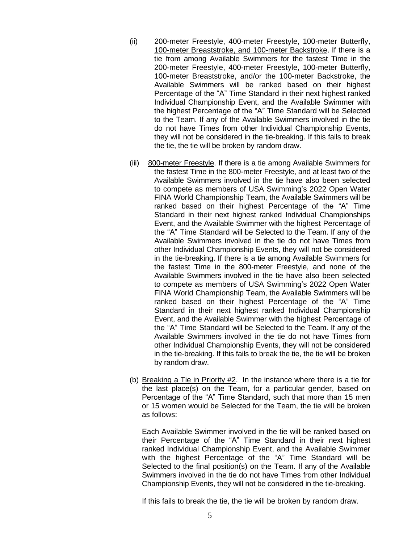- (ii) 200-meter Freestyle, 400-meter Freestyle, 100-meter Butterfly, 100-meter Breaststroke, and 100-meter Backstroke. If there is a tie from among Available Swimmers for the fastest Time in the 200-meter Freestyle, 400-meter Freestyle, 100-meter Butterfly, 100-meter Breaststroke, and/or the 100-meter Backstroke, the Available Swimmers will be ranked based on their highest Percentage of the "A" Time Standard in their next highest ranked Individual Championship Event, and the Available Swimmer with the highest Percentage of the "A" Time Standard will be Selected to the Team. If any of the Available Swimmers involved in the tie do not have Times from other Individual Championship Events, they will not be considered in the tie-breaking. If this fails to break the tie, the tie will be broken by random draw.
- (iii) 800-meter Freestyle. If there is a tie among Available Swimmers for the fastest Time in the 800-meter Freestyle, and at least two of the Available Swimmers involved in the tie have also been selected to compete as members of USA Swimming's 2022 Open Water FINA World Championship Team, the Available Swimmers will be ranked based on their highest Percentage of the "A" Time Standard in their next highest ranked Individual Championships Event, and the Available Swimmer with the highest Percentage of the "A" Time Standard will be Selected to the Team. If any of the Available Swimmers involved in the tie do not have Times from other Individual Championship Events, they will not be considered in the tie-breaking. If there is a tie among Available Swimmers for the fastest Time in the 800-meter Freestyle, and none of the Available Swimmers involved in the tie have also been selected to compete as members of USA Swimming's 2022 Open Water FINA World Championship Team, the Available Swimmers will be ranked based on their highest Percentage of the "A" Time Standard in their next highest ranked Individual Championship Event, and the Available Swimmer with the highest Percentage of the "A" Time Standard will be Selected to the Team. If any of the Available Swimmers involved in the tie do not have Times from other Individual Championship Events, they will not be considered in the tie-breaking. If this fails to break the tie, the tie will be broken by random draw.
- (b) Breaking a Tie in Priority #2. In the instance where there is a tie for the last place(s) on the Team, for a particular gender, based on Percentage of the "A" Time Standard, such that more than 15 men or 15 women would be Selected for the Team, the tie will be broken as follows:

Each Available Swimmer involved in the tie will be ranked based on their Percentage of the "A" Time Standard in their next highest ranked Individual Championship Event, and the Available Swimmer with the highest Percentage of the "A" Time Standard will be Selected to the final position(s) on the Team. If any of the Available Swimmers involved in the tie do not have Times from other Individual Championship Events, they will not be considered in the tie-breaking.

If this fails to break the tie, the tie will be broken by random draw.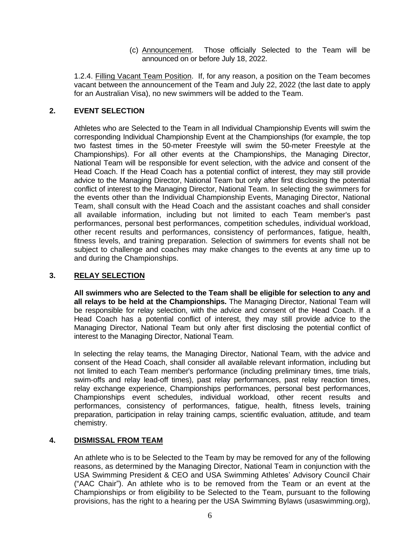(c) Announcement. Those officially Selected to the Team will be announced on or before July 18, 2022.

1.2.4. Filling Vacant Team Position. If, for any reason, a position on the Team becomes vacant between the announcement of the Team and July 22, 2022 (the last date to apply for an Australian Visa), no new swimmers will be added to the Team.

## **2. EVENT SELECTION**

Athletes who are Selected to the Team in all Individual Championship Events will swim the corresponding Individual Championship Event at the Championships (for example, the top two fastest times in the 50-meter Freestyle will swim the 50-meter Freestyle at the Championships). For all other events at the Championships, the Managing Director, National Team will be responsible for event selection, with the advice and consent of the Head Coach. If the Head Coach has a potential conflict of interest, they may still provide advice to the Managing Director, National Team but only after first disclosing the potential conflict of interest to the Managing Director, National Team. In selecting the swimmers for the events other than the Individual Championship Events, Managing Director, National Team, shall consult with the Head Coach and the assistant coaches and shall consider all available information, including but not limited to each Team member's past performances, personal best performances, competition schedules, individual workload, other recent results and performances, consistency of performances, fatigue, health, fitness levels, and training preparation. Selection of swimmers for events shall not be subject to challenge and coaches may make changes to the events at any time up to and during the Championships.

## **3. RELAY SELECTION**

**All swimmers who are Selected to the Team shall be eligible for selection to any and all relays to be held at the Championships.** The Managing Director, National Team will be responsible for relay selection, with the advice and consent of the Head Coach. If a Head Coach has a potential conflict of interest, they may still provide advice to the Managing Director, National Team but only after first disclosing the potential conflict of interest to the Managing Director, National Team.

In selecting the relay teams, the Managing Director, National Team, with the advice and consent of the Head Coach, shall consider all available relevant information, including but not limited to each Team member's performance (including preliminary times, time trials, swim-offs and relay lead-off times), past relay performances, past relay reaction times, relay exchange experience, Championships performances, personal best performances, Championships event schedules, individual workload, other recent results and performances, consistency of performances, fatigue, health, fitness levels, training preparation, participation in relay training camps, scientific evaluation, attitude, and team chemistry.

## **4. DISMISSAL FROM TEAM**

An athlete who is to be Selected to the Team by may be removed for any of the following reasons, as determined by the Managing Director, National Team in conjunction with the USA Swimming President & CEO and USA Swimming Athletes' Advisory Council Chair ("AAC Chair"). An athlete who is to be removed from the Team or an event at the Championships or from eligibility to be Selected to the Team, pursuant to the following provisions, has the right to a hearing per the USA Swimming Bylaws (usaswimming.org),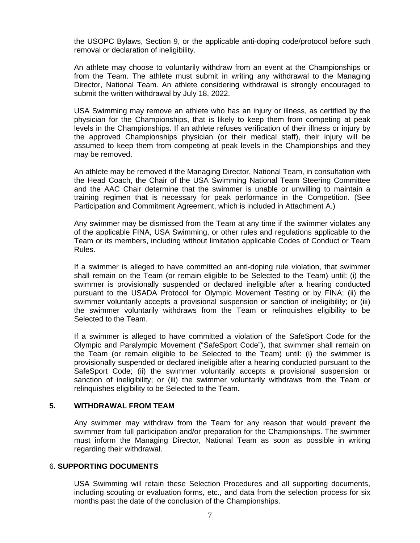the USOPC Bylaws, Section 9, or the applicable anti-doping code/protocol before such removal or declaration of ineligibility.

An athlete may choose to voluntarily withdraw from an event at the Championships or from the Team. The athlete must submit in writing any withdrawal to the Managing Director, National Team. An athlete considering withdrawal is strongly encouraged to submit the written withdrawal by July 18, 2022.

USA Swimming may remove an athlete who has an injury or illness, as certified by the physician for the Championships, that is likely to keep them from competing at peak levels in the Championships. If an athlete refuses verification of their illness or injury by the approved Championships physician (or their medical staff), their injury will be assumed to keep them from competing at peak levels in the Championships and they may be removed.

An athlete may be removed if the Managing Director, National Team, in consultation with the Head Coach, the Chair of the USA Swimming National Team Steering Committee and the AAC Chair determine that the swimmer is unable or unwilling to maintain a training regimen that is necessary for peak performance in the Competition. (See Participation and Commitment Agreement, which is included in Attachment A.)

Any swimmer may be dismissed from the Team at any time if the swimmer violates any of the applicable FINA, USA Swimming, or other rules and regulations applicable to the Team or its members, including without limitation applicable Codes of Conduct or Team Rules.

If a swimmer is alleged to have committed an anti-doping rule violation, that swimmer shall remain on the Team (or remain eligible to be Selected to the Team) until: (i) the swimmer is provisionally suspended or declared ineligible after a hearing conducted pursuant to the USADA Protocol for Olympic Movement Testing or by FINA; (ii) the swimmer voluntarily accepts a provisional suspension or sanction of ineligibility; or (iii) the swimmer voluntarily withdraws from the Team or relinquishes eligibility to be Selected to the Team.

If a swimmer is alleged to have committed a violation of the SafeSport Code for the Olympic and Paralympic Movement ("SafeSport Code"), that swimmer shall remain on the Team (or remain eligible to be Selected to the Team) until: (i) the swimmer is provisionally suspended or declared ineligible after a hearing conducted pursuant to the SafeSport Code; (ii) the swimmer voluntarily accepts a provisional suspension or sanction of ineligibility; or (iii) the swimmer voluntarily withdraws from the Team or relinquishes eligibility to be Selected to the Team.

### **5. WITHDRAWAL FROM TEAM**

Any swimmer may withdraw from the Team for any reason that would prevent the swimmer from full participation and/or preparation for the Championships. The swimmer must inform the Managing Director, National Team as soon as possible in writing regarding their withdrawal.

#### 6. **SUPPORTING DOCUMENTS**

USA Swimming will retain these Selection Procedures and all supporting documents, including scouting or evaluation forms, etc., and data from the selection process for six months past the date of the conclusion of the Championships.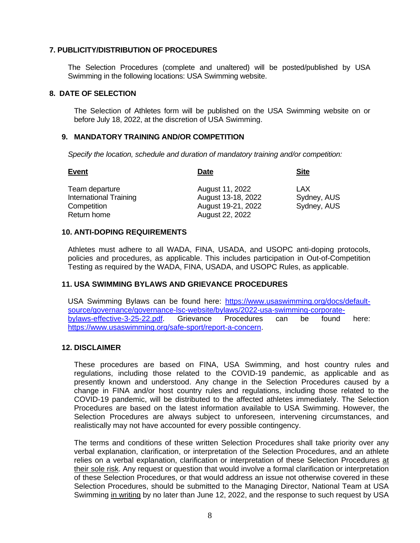## **7. PUBLICITY/DISTRIBUTION OF PROCEDURES**

The Selection Procedures (complete and unaltered) will be posted/published by USA Swimming in the following locations: USA Swimming website.

### **8. DATE OF SELECTION**

The Selection of Athletes form will be published on the USA Swimming website on or before July 18, 2022, at the discretion of USA Swimming.

#### **9. MANDATORY TRAINING AND/OR COMPETITION**

*Specify the location, schedule and duration of mandatory training and/or competition:*

| <b>Event</b>                  | <b>Date</b>        | <b>Site</b> |
|-------------------------------|--------------------|-------------|
| Team departure                | August 11, 2022    | LAX         |
| <b>International Training</b> | August 13-18, 2022 | Sydney, AUS |
| Competition                   | August 19-21, 2022 | Sydney, AUS |
| Return home                   | August 22, 2022    |             |

### **10. ANTI-DOPING REQUIREMENTS**

Athletes must adhere to all WADA, FINA, USADA, and USOPC anti-doping protocols, policies and procedures, as applicable. This includes participation in Out-of-Competition Testing as required by the WADA, FINA, USADA, and USOPC Rules, as applicable.

### **11. USA SWIMMING BYLAWS AND GRIEVANCE PROCEDURES**

USA Swimming Bylaws can be found here: [https://www.usaswimming.org/docs/default](https://www.usaswimming.org/docs/default-source/governance/governance-lsc-website/bylaws/2022-usa-swimming-corporate-bylaws-effective-3-25-22.pdf)[source/governance/governance-lsc-website/bylaws/2022-usa-swimming-corporate](https://www.usaswimming.org/docs/default-source/governance/governance-lsc-website/bylaws/2022-usa-swimming-corporate-bylaws-effective-3-25-22.pdf)[bylaws-effective-3-25-22.pdf.](https://www.usaswimming.org/docs/default-source/governance/governance-lsc-website/bylaws/2022-usa-swimming-corporate-bylaws-effective-3-25-22.pdf) Grievance Procedures can be found here: [https://www.usaswimming.org/safe-sport/report-a-concern.](https://www.usaswimming.org/safe-sport/report-a-concern)

### **12. DISCLAIMER**

These procedures are based on FINA, USA Swimming, and host country rules and regulations, including those related to the COVID-19 pandemic, as applicable and as presently known and understood. Any change in the Selection Procedures caused by a change in FINA and/or host country rules and regulations, including those related to the COVID-19 pandemic, will be distributed to the affected athletes immediately. The Selection Procedures are based on the latest information available to USA Swimming. However, the Selection Procedures are always subject to unforeseen, intervening circumstances, and realistically may not have accounted for every possible contingency.

The terms and conditions of these written Selection Procedures shall take priority over any verbal explanation, clarification, or interpretation of the Selection Procedures, and an athlete relies on a verbal explanation, clarification or interpretation of these Selection Procedures at their sole risk. Any request or question that would involve a formal clarification or interpretation of these Selection Procedures, or that would address an issue not otherwise covered in these Selection Procedures, should be submitted to the Managing Director, National Team at USA Swimming in writing by no later than June 12, 2022, and the response to such request by USA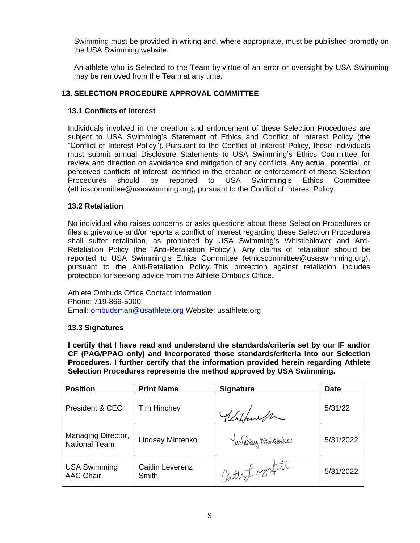Swimming must be provided in writing and, where appropriate, must be published promptly on the USA Swimming website.

An athlete who is Selected to the Team by virtue of an error or oversight by USA Swimming may be removed from the Team at any time.

# **13. SELECTION PROCEDURE APPROVAL COMMITTEE**

## **13.1 Conflicts of Interest**

Individuals involved in the creation and enforcement of these Selection Procedures are subject to USA Swimming's Statement of Ethics and Conflict of Interest Policy (the "Conflict of Interest Policy"). Pursuant to the Conflict of Interest Policy, these individuals must submit annual Disclosure Statements to USA Swimming's Ethics Committee for review and direction on avoidance and mitigation of any conflicts. Any actual, potential, or perceived conflicts of interest identified in the creation or enforcement of these Selection Procedures should be reported to USA Swimming's Ethics Committee (ethicscommittee@usaswimming.org), pursuant to the Conflict of Interest Policy.

## **13.2 Retaliation**

No individual who raises concerns or asks questions about these Selection Procedures or files a grievance and/or reports a conflict of interest regarding these Selection Procedures shall suffer retaliation, as prohibited by USA Swimming's Whistleblower and Anti-Retaliation Policy (the "Anti-Retaliation Policy"). Any claims of retaliation should be reported to USA Swimming's Ethics Committee (ethicscommittee@usaswimming.org), pursuant to the Anti-Retaliation Policy. This protection against retaliation includes protection for seeking advice from the Athlete Ombuds Office.

Athlete Ombuds Office Contact Information Phone: 719-866-5000 Email: [ombudsman@usathlete.org](mailto:ombudsman@usathlete.org) Website: usathlete.org

## **13.3 Signatures**

**I certify that I have read and understand the standards/criteria set by our IF and/or CF (PAG/PPAG only) and incorporated those standards/criteria into our Selection Procedures. I further certify that the information provided herein regarding Athlete Selection Procedures represents the method approved by USA Swimming.**

| <b>Position</b>                            | <b>Print Name</b>                | <b>Signature</b> | <b>Date</b> |
|--------------------------------------------|----------------------------------|------------------|-------------|
| President & CEO                            | <b>Tim Hinchey</b>               | Adefenta         | 5/31/22     |
| Managing Director,<br><b>National Team</b> | Lindsay Mintenko                 | Linday Mintenko  | 5/31/2022   |
| <b>USA Swimming</b><br><b>AAC Chair</b>    | <b>Caitlin Leverenz</b><br>Smith | Cathydroxtatt    | 5/31/2022   |